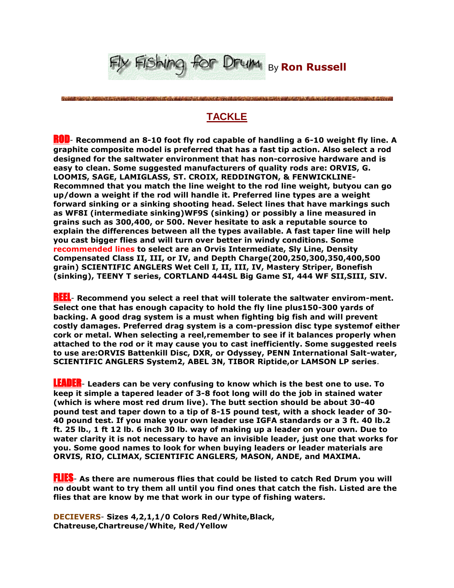

**TACKLE**

istic provincial contracts in the company of the contract of the contracts of the contracts of the contract of the

ROD- **Recommend an 8-10 foot fly rod capable of handling a 6-10 weight fly line. A graphite composite model is preferred that has a fast tip action. Also select a rod designed for the saltwater environment that has non-corrosive hardware and is easy to clean. Some suggested manufacturers of quality rods are: ORVIS, G. LOOMIS, SAGE, LAMIGLASS, ST. CROIX, REDDINGTON, & FENWICKLINE-Recommned that you match the line weight to the rod line weight, butyou can go up/down a weight if the rod will handle it. Preferred line types are a weight forward sinking or a sinking shooting head. Select lines that have markings such as WF8I (intermediate sinking)WF9S (sinking) or possibly a line measured in grains such as 300,400, or 500. Never hesitate to ask a reputable source to explain the differences between all the types available. A fast taper line will help you cast bigger flies and will turn over better in windy conditions. Some recommended lines to select are an Orvis Intermediate, Sly Line, Density Compensated Class II, III, or IV, and Depth Charge(200,250,300,350,400,500 grain) SCIENTIFIC ANGLERS Wet Cell I, II, III, IV, Mastery Striper, Bonefish (sinking), TEENY T series, CORTLAND 444SL Big Game SI, 444 WF SII,SIII, SIV.**

REEL- **Recommend you select a reel that will tolerate the saltwater envirom-ment. Select one that has enough capacity to hold the fly line plus150-300 yards of backing. A good drag system is a must when fighting big fish and will prevent costly damages. Preferred drag system is a com-pression disc type systemof either cork or metal. When selecting a reel,remember to see if it balances properly when attached to the rod or it may cause you to cast inefficiently. Some suggested reels to use are:ORVIS Battenkill Disc, DXR, or Odyssey, PENN International Salt-water, SCIENTIFIC ANGLERS System2, ABEL 3N, TIBOR Riptide,or LAMSON LP series**.

LEADER- **Leaders can be very confusing to know which is the best one to use. To keep it simple a tapered leader of 3-8 foot long will do the job in stained water (which is where most red drum live). The butt section should be about 30-40 pound test and taper down to a tip of 8-15 pound test, with a shock leader of 30- 40 pound test. If you make your own leader use IGFA standards or a 3 ft. 40 lb.2 ft. 25 lb., 1 ft 12 lb. 6 inch 30 lb. way of making up a leader on your own. Due to water clarity it is not necessary to have an invisible leader, just one that works for you. Some good names to look for when buying leaders or leader materials are ORVIS, RIO, CLIMAX, SCIENTIFIC ANGLERS, MASON, ANDE, and MAXIMA.**

FLIES- **As there are numerous flies that could be listed to catch Red Drum you will no doubt want to try them all until you find ones that catch the fish. Listed are the flies that are know by me that work in our type of fishing waters.**

**DECIEVERS**- **Sizes 4,2,1,1/0 Colors Red/White,Black, Chatreuse,Chartreuse/White, Red/Yellow**